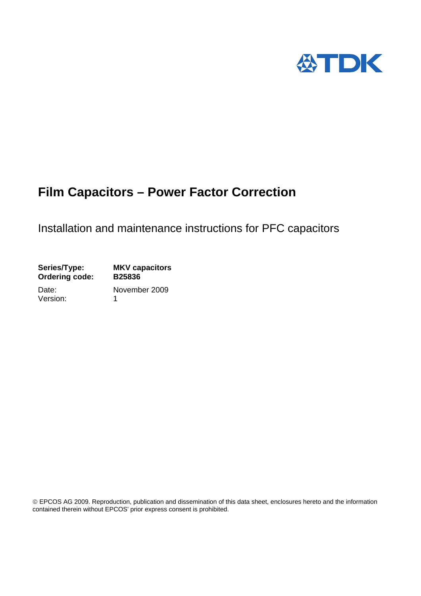

# **Film Capacitors – Power Factor Correction**

# Installation and maintenance instructions for PFC capacitors

| <b>B25836</b> |
|---------------|
| November 2009 |
|               |

ercontained therein without EPCOS' prior express consent is prohibited. EPCOS AG 2009. Reproduction, publication and dissemination of this data sheet, enclosures hereto and the information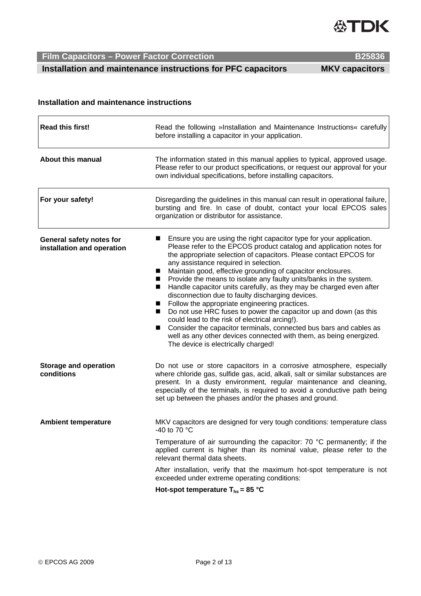

 **Installation and maintenance instructions for PFC capacitors MKV capacitors** 

### **Installation and maintenance instructions**

| <b>Read this first!</b>                                | Read the following »Installation and Maintenance Instructions« carefully<br>before installing a capacitor in your application.                                                                                                                                                                                                                                                                                                                                                                                                                                                                                                                                                                                                                                                                                                                                                                                                           |
|--------------------------------------------------------|------------------------------------------------------------------------------------------------------------------------------------------------------------------------------------------------------------------------------------------------------------------------------------------------------------------------------------------------------------------------------------------------------------------------------------------------------------------------------------------------------------------------------------------------------------------------------------------------------------------------------------------------------------------------------------------------------------------------------------------------------------------------------------------------------------------------------------------------------------------------------------------------------------------------------------------|
| <b>About this manual</b>                               | The information stated in this manual applies to typical, approved usage.<br>Please refer to our product specifications, or request our approval for your<br>own individual specifications, before installing capacitors.                                                                                                                                                                                                                                                                                                                                                                                                                                                                                                                                                                                                                                                                                                                |
| For your safety!                                       | Disregarding the guidelines in this manual can result in operational failure,<br>bursting and fire. In case of doubt, contact your local EPCOS sales<br>organization or distributor for assistance.                                                                                                                                                                                                                                                                                                                                                                                                                                                                                                                                                                                                                                                                                                                                      |
| General safety notes for<br>installation and operation | Ensure you are using the right capacitor type for your application.<br>Please refer to the EPCOS product catalog and application notes for<br>the appropriate selection of capacitors. Please contact EPCOS for<br>any assistance required in selection.<br>Maintain good, effective grounding of capacitor enclosures.<br>$\blacksquare$<br>Provide the means to isolate any faulty units/banks in the system.<br>$\blacksquare$<br>Handle capacitor units carefully, as they may be charged even after<br>$\blacksquare$<br>disconnection due to faulty discharging devices.<br>Follow the appropriate engineering practices.<br>Do not use HRC fuses to power the capacitor up and down (as this<br>could lead to the risk of electrical arcing!).<br>Consider the capacitor terminals, connected bus bars and cables as<br>well as any other devices connected with them, as being energized.<br>The device is electrically charged! |
| <b>Storage and operation</b><br>conditions             | Do not use or store capacitors in a corrosive atmosphere, especially<br>where chloride gas, sulfide gas, acid, alkali, salt or similar substances are<br>present. In a dusty environment, regular maintenance and cleaning,<br>especially of the terminals, is required to avoid a conductive path being<br>set up between the phases and/or the phases and ground.                                                                                                                                                                                                                                                                                                                                                                                                                                                                                                                                                                      |
| <b>Ambient temperature</b>                             | MKV capacitors are designed for very tough conditions: temperature class<br>-40 to 70 $\degree$ C                                                                                                                                                                                                                                                                                                                                                                                                                                                                                                                                                                                                                                                                                                                                                                                                                                        |
|                                                        | Temperature of air surrounding the capacitor: 70 °C permanently; if the<br>applied current is higher than its nominal value, please refer to the<br>relevant thermal data sheets.                                                                                                                                                                                                                                                                                                                                                                                                                                                                                                                                                                                                                                                                                                                                                        |
|                                                        | After installation, verify that the maximum hot-spot temperature is not<br>exceeded under extreme operating conditions:                                                                                                                                                                                                                                                                                                                                                                                                                                                                                                                                                                                                                                                                                                                                                                                                                  |
|                                                        | Hot-spot temperature $T_{hs}$ = 85 °C                                                                                                                                                                                                                                                                                                                                                                                                                                                                                                                                                                                                                                                                                                                                                                                                                                                                                                    |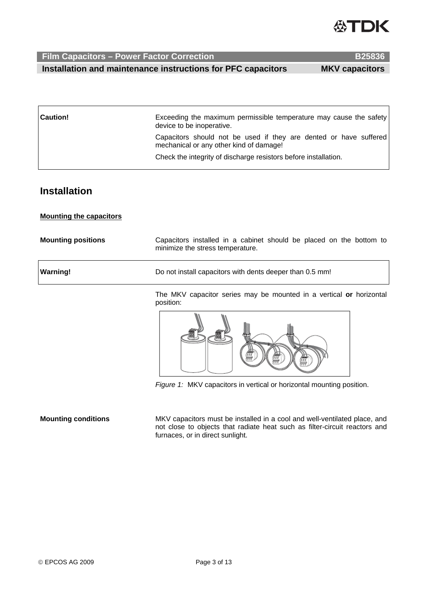

**Film Capacitors – Power Factor Correction B25836 <b>B25836 Installation and maintenance instructions for PFC capacitors MKV capacitors** 

| <b>Caution!</b> | Exceeding the maximum permissible temperature may cause the safety<br>device to be inoperative.              |
|-----------------|--------------------------------------------------------------------------------------------------------------|
|                 | Capacitors should not be used if they are dented or have suffered<br>mechanical or any other kind of damage! |
|                 | Check the integrity of discharge resistors before installation.                                              |

## **Installation**

### **Mounting the capacitors**

| <b>Mounting positions</b> | Capacitors installed in a cabinet should be placed on the bottom to<br>minimize the stress temperature. |
|---------------------------|---------------------------------------------------------------------------------------------------------|
| Warning!                  | Do not install capacitors with dents deeper than 0.5 mm!                                                |

The MKV capacitor series may be mounted in a vertical **or** horizontal position:



*Figure 1:* MKV capacitors in vertical or horizontal mounting position.

**Mounting conditions** MKV capacitors must be installed in a cool and well-ventilated place, and not close to objects that radiate heat such as filter-circuit reactors and furnaces, or in direct sunlight.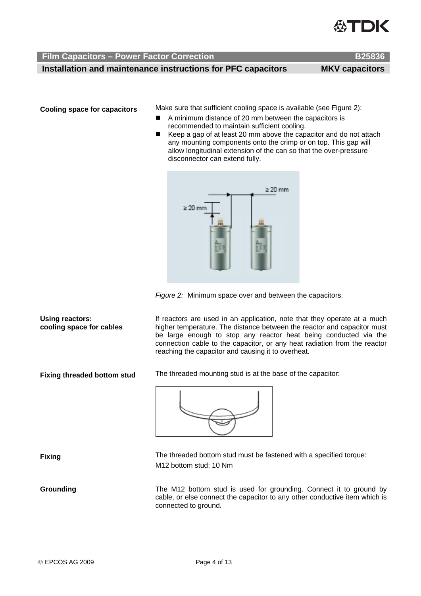

 **Film Capacitors – Power Factor Correction B25836** 

 **Installation and maintenance instructions for PFC capacitors MKV capacitors** 

**Cooling space for capacitors** Make sure that sufficient cooling space is available (see Figure 2):

- A minimum distance of 20 mm between the capacitors is recommended to maintain sufficient cooling.
- Keep a gap of at least 20 mm above the capacitor and do not attach any mounting components onto the crimp or on top. This gap will allow longitudinal extension of the can so that the over-pressure disconnector can extend fully.



*Figure 2:* Minimum space over and between the capacitors.

If reactors are used in an application, note that they operate at a much higher temperature. The distance between the reactor and capacitor must be large enough to stop any reactor heat being conducted via the connection cable to the capacitor, or any heat radiation from the reactor reaching the capacitor and causing it to overheat.

**Fixing threaded bottom stud** The threaded mounting stud is at the base of the capacitor:



**Fixing The threaded bottom stud must be fastened with a specified torque:** M12 bottom stud: 10 Nm

**Grounding** The M12 bottom stud is used for grounding. Connect it to ground by cable, or else connect the capacitor to any other conductive item which is connected to ground.

**Using reactors: cooling space for cables**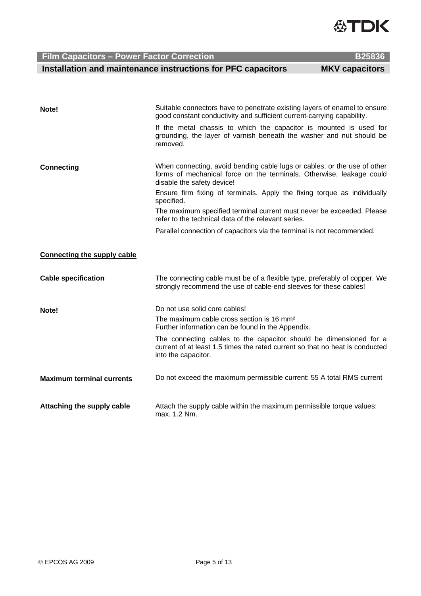

**Film Capacitors - Power Factor Correction Installation and maintenance instructions for PF** 

|                      | $\sim$                |
|----------------------|-----------------------|
|                      | <b>B25836</b>         |
| <b>FC capacitors</b> | <b>MKV capacitors</b> |
|                      |                       |

**ATNZ** 

| Note!                            | Suitable connectors have to penetrate existing layers of enamel to ensure<br>good constant conductivity and sufficient current-carrying capability.                            |
|----------------------------------|--------------------------------------------------------------------------------------------------------------------------------------------------------------------------------|
|                                  | If the metal chassis to which the capacitor is mounted is used for<br>grounding, the layer of varnish beneath the washer and nut should be<br>removed.                         |
| <b>Connecting</b>                | When connecting, avoid bending cable lugs or cables, or the use of other<br>forms of mechanical force on the terminals. Otherwise, leakage could<br>disable the safety device! |
|                                  | Ensure firm fixing of terminals. Apply the fixing torque as individually<br>specified.                                                                                         |
|                                  | The maximum specified terminal current must never be exceeded. Please<br>refer to the technical data of the relevant series.                                                   |
|                                  | Parallel connection of capacitors via the terminal is not recommended.                                                                                                         |
| Connecting the supply cable      |                                                                                                                                                                                |
| <b>Cable specification</b>       | The connecting cable must be of a flexible type, preferably of copper. We<br>strongly recommend the use of cable-end sleeves for these cables!                                 |
| Note!                            | Do not use solid core cables!                                                                                                                                                  |
|                                  | The maximum cable cross section is 16 mm <sup>2</sup><br>Further information can be found in the Appendix.                                                                     |
|                                  | The connecting cables to the capacitor should be dimensioned for a<br>current of at least 1.5 times the rated current so that no heat is conducted<br>into the capacitor.      |
| <b>Maximum terminal currents</b> | Do not exceed the maximum permissible current: 55 A total RMS current                                                                                                          |
| Attaching the supply cable       | Attach the supply cable within the maximum permissible torque values:<br>max. 1.2 Nm.                                                                                          |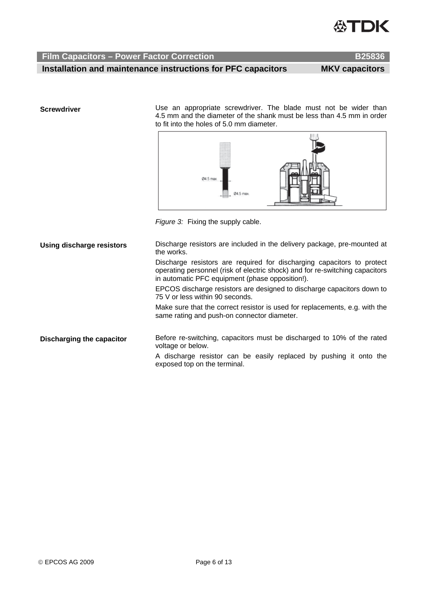

 **Installation and maintenance instructions for PFC capacitors MKV capacitors** 

**Screwdriver EXEC SCREW EXECUTE:** Use an appropriate screwdriver. The blade must not be wider than 4.5 mm and the diameter of the shank must be less than 4.5 mm in order to fit into the holes of 5.0 mm diameter.



*Figure 3:* Fixing the supply cable.

**Using discharge resistors** Discharge resistors are included in the delivery package, pre-mounted at the works. Discharge resistors are required for discharging capacitors to protect

operating personnel (risk of electric shock) and for re-switching capacitors in automatic PFC equipment (phase opposition!).

EPCOS discharge resistors are designed to discharge capacitors down to 75 V or less within 90 seconds.

Make sure that the correct resistor is used for replacements, e.g. with the same rating and push-on connector diameter.

**Discharging the capacitor** Before re-switching, capacitors must be discharged to 10% of the rated voltage or below.

> A discharge resistor can be easily replaced by pushing it onto the exposed top on the terminal.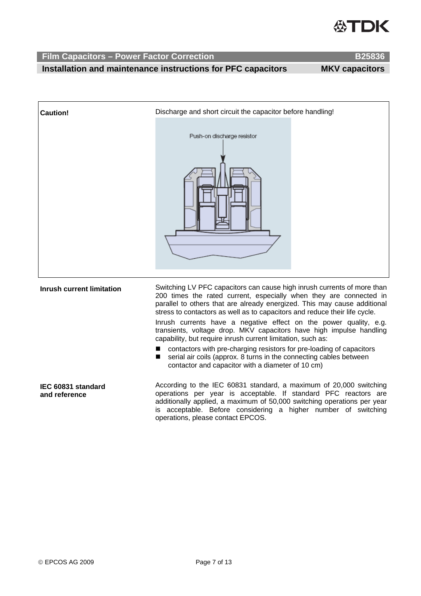

**Installation and maintenance instructions for PFC capacitors MKV capacitors** 

| <b>Caution!</b>                     | Discharge and short circuit the capacitor before handling!                                                                                                                                                                                                                                                                                                                                                                                                                                                                                                                                                                                                                                                                 |
|-------------------------------------|----------------------------------------------------------------------------------------------------------------------------------------------------------------------------------------------------------------------------------------------------------------------------------------------------------------------------------------------------------------------------------------------------------------------------------------------------------------------------------------------------------------------------------------------------------------------------------------------------------------------------------------------------------------------------------------------------------------------------|
|                                     | Push-on discharge resistor                                                                                                                                                                                                                                                                                                                                                                                                                                                                                                                                                                                                                                                                                                 |
| <b>Inrush current limitation</b>    | Switching LV PFC capacitors can cause high inrush currents of more than<br>200 times the rated current, especially when they are connected in<br>parallel to others that are already energized. This may cause additional<br>stress to contactors as well as to capacitors and reduce their life cycle.<br>Inrush currents have a negative effect on the power quality, e.g.<br>transients, voltage drop. MKV capacitors have high impulse handling<br>capability, but require inrush current limitation, such as:<br>contactors with pre-charging resistors for pre-loading of capacitors<br>serial air coils (approx. 8 turns in the connecting cables between<br>■<br>contactor and capacitor with a diameter of 10 cm) |
| IEC 60831 standard<br>and reference | According to the IEC 60831 standard, a maximum of 20,000 switching<br>operations per year is acceptable. If standard PFC reactors are<br>additionally applied, a maximum of 50,000 switching operations per year<br>is acceptable. Before considering a higher number of switching<br>operations, please contact EPCOS.                                                                                                                                                                                                                                                                                                                                                                                                    |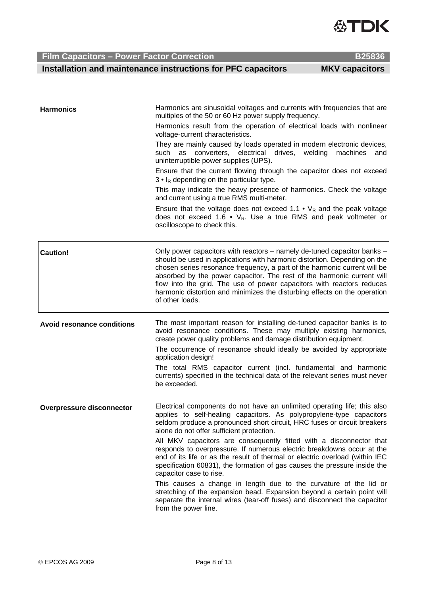© EPCOS AG 2009 Page 8 of 13

 **Installation and maintenance instructions for PFC capacitors MKV capacitors** 

| <b>Harmonics</b>                  | Harmonics are sinusoidal voltages and currents with frequencies that are                                                                                                                                                                                                                                                                                                                                                                                                             |
|-----------------------------------|--------------------------------------------------------------------------------------------------------------------------------------------------------------------------------------------------------------------------------------------------------------------------------------------------------------------------------------------------------------------------------------------------------------------------------------------------------------------------------------|
|                                   | multiples of the 50 or 60 Hz power supply frequency.                                                                                                                                                                                                                                                                                                                                                                                                                                 |
|                                   | Harmonics result from the operation of electrical loads with nonlinear<br>voltage-current characteristics.                                                                                                                                                                                                                                                                                                                                                                           |
|                                   | They are mainly caused by loads operated in modern electronic devices,<br>converters,<br>electrical drives,<br>welding<br>machines<br>such as<br>and<br>uninterruptible power supplies (UPS).                                                                                                                                                                                                                                                                                        |
|                                   | Ensure that the current flowing through the capacitor does not exceed<br>$3 ullet$ I <sub>R</sub> depending on the particular type.                                                                                                                                                                                                                                                                                                                                                  |
|                                   | This may indicate the heavy presence of harmonics. Check the voltage<br>and current using a true RMS multi-meter.                                                                                                                                                                                                                                                                                                                                                                    |
|                                   | Ensure that the voltage does not exceed 1.1 $\bullet$ V <sub>R</sub> and the peak voltage<br>does not exceed 1.6 • $V_R$ . Use a true RMS and peak voltmeter or<br>oscilloscope to check this.                                                                                                                                                                                                                                                                                       |
| <b>Caution!</b>                   | Only power capacitors with reactors – namely de-tuned capacitor banks –<br>should be used in applications with harmonic distortion. Depending on the<br>chosen series resonance frequency, a part of the harmonic current will be<br>absorbed by the power capacitor. The rest of the harmonic current will<br>flow into the grid. The use of power capacitors with reactors reduces<br>harmonic distortion and minimizes the disturbing effects on the operation<br>of other loads. |
| <b>Avoid resonance conditions</b> | The most important reason for installing de-tuned capacitor banks is to<br>avoid resonance conditions. These may multiply existing harmonics,<br>create power quality problems and damage distribution equipment.                                                                                                                                                                                                                                                                    |
|                                   | The occurrence of resonance should ideally be avoided by appropriate<br>application design!                                                                                                                                                                                                                                                                                                                                                                                          |
|                                   | The total RMS capacitor current (incl. fundamental and harmonic<br>currents) specified in the technical data of the relevant series must never<br>be exceeded.                                                                                                                                                                                                                                                                                                                       |
| <b>Overpressure disconnector</b>  | Electrical components do not have an unlimited operating life; this also<br>applies to self-healing capacitors. As polypropylene-type capacitors<br>seldom produce a pronounced short circuit, HRC fuses or circuit breakers<br>alone do not offer sufficient protection.                                                                                                                                                                                                            |
|                                   | All MKV capacitors are consequently fitted with a disconnector that<br>responds to overpressure. If numerous electric breakdowns occur at the<br>end of its life or as the result of thermal or electric overload (within IEC<br>specification 60831), the formation of gas causes the pressure inside the<br>capacitor case to rise.                                                                                                                                                |
|                                   | This causes a change in length due to the curvature of the lid or<br>stretching of the expansion bead. Expansion beyond a certain point will<br>separate the internal wires (tear-off fuses) and disconnect the capacitor                                                                                                                                                                                                                                                            |

from the power line.

**Film Capacitors – Power Factor Correction B25836 <b>B25836**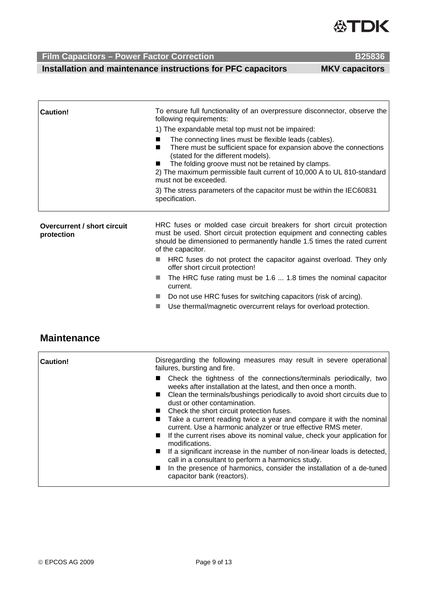

 **Installation and maintenance instructions for PFC capacitors MKV capacitors** 

| Caution!                                  | To ensure full functionality of an overpressure disconnector, observe the<br>following requirements:                                                                                                                                                                                                                        |
|-------------------------------------------|-----------------------------------------------------------------------------------------------------------------------------------------------------------------------------------------------------------------------------------------------------------------------------------------------------------------------------|
|                                           | 1) The expandable metal top must not be impaired:                                                                                                                                                                                                                                                                           |
|                                           | The connecting lines must be flexible leads (cables).<br>There must be sufficient space for expansion above the connections<br>(stated for the different models).<br>The folding groove must not be retained by clamps.<br>2) The maximum permissible fault current of 10,000 A to UL 810-standard<br>must not be exceeded. |
|                                           | 3) The stress parameters of the capacitor must be within the IEC60831<br>specification.                                                                                                                                                                                                                                     |
| Overcurrent / short circuit<br>protection | HRC fuses or molded case circuit breakers for short circuit protection<br>must be used. Short circuit protection equipment and connecting cables<br>should be dimensioned to permanently handle 1.5 times the rated current<br>of the capacitor.                                                                            |

- **HRC** fuses do not protect the capacitor against overload. They only offer short circuit protection!
- The HRC fuse rating must be 1.6 ... 1.8 times the nominal capacitor current.
- Do not use HRC fuses for switching capacitors (risk of arcing).
- Use thermal/magnetic overcurrent relays for overload protection.

## **Maintenance**

| Caution! | Disregarding the following measures may result in severe operational<br>failures, bursting and fire.                                                                                                                                                                                                                                                                                                                                                                                                                                                                                                                             |
|----------|----------------------------------------------------------------------------------------------------------------------------------------------------------------------------------------------------------------------------------------------------------------------------------------------------------------------------------------------------------------------------------------------------------------------------------------------------------------------------------------------------------------------------------------------------------------------------------------------------------------------------------|
|          | ■ Check the tightness of the connections/terminals periodically, two<br>weeks after installation at the latest, and then once a month.<br>■ Clean the terminals/bushings periodically to avoid short circuits due to<br>dust or other contamination.<br>■ Check the short circuit protection fuses.<br>■ Take a current reading twice a year and compare it with the nominal<br>current. Use a harmonic analyzer or true effective RMS meter.<br>■ If the current rises above its nominal value, check your application for<br>modifications.<br><b>If a significant increase in the number of non-linear loads is detected,</b> |
|          | call in a consultant to perform a harmonics study.<br>In the presence of harmonics, consider the installation of a de-tuned<br>capacitor bank (reactors).                                                                                                                                                                                                                                                                                                                                                                                                                                                                        |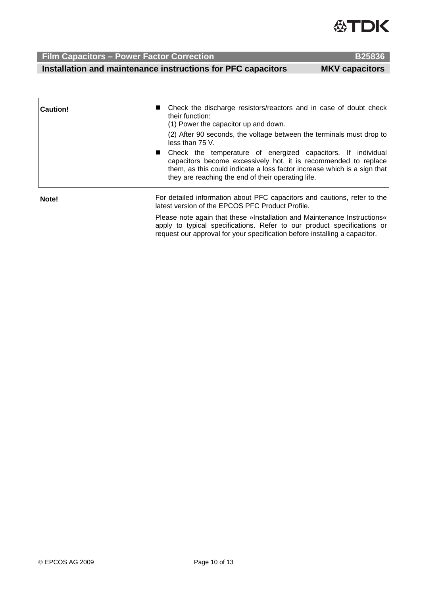

 **Installation and maintenance instructions for PFC capacitors MKV capacitors** 

| ٠ |  |
|---|--|

| Caution! | ■ Check the discharge resistors/reactors and in case of doubt check<br>their function:<br>(1) Power the capacitor up and down.                                                                                                                                      |
|----------|---------------------------------------------------------------------------------------------------------------------------------------------------------------------------------------------------------------------------------------------------------------------|
|          | (2) After 90 seconds, the voltage between the terminals must drop to<br>less than $75V$ .                                                                                                                                                                           |
|          | ■ Check the temperature of energized capacitors. If individual<br>capacitors become excessively hot, it is recommended to replace<br>them, as this could indicate a loss factor increase which is a sign that<br>they are reaching the end of their operating life. |
| Note!    | For detailed information about PFC capacitors and cautions, refer to the<br>latest version of the EPCOS PFC Product Profile.                                                                                                                                        |
|          |                                                                                                                                                                                                                                                                     |

Please note again that these »Installation and Maintenance Instructions« apply to typical specifications. Refer to our product specifications or request our approval for your specification before installing a capacitor.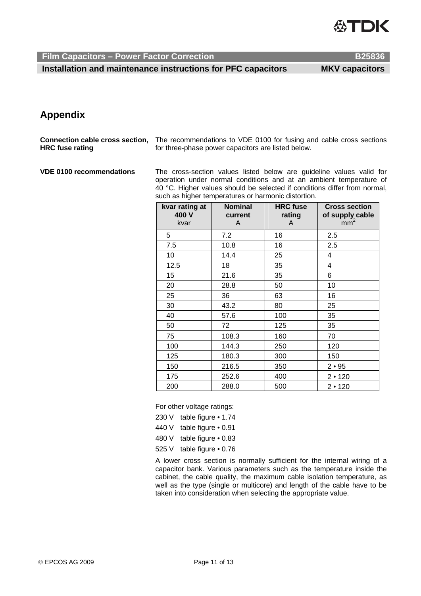

 **Installation and maintenance instructions for PFC capacitors MKV capacitors** 

# **Appendix**

**Connection cable cross section, HRC fuse rating**  The recommendations to VDE 0100 for fusing and cable cross sections for three-phase power capacitors are listed below.

**VDE 0100 recommendations** The cross-section values listed below are guideline values valid for operation under normal conditions and at an ambient temperature of 40 °C. Higher values should be selected if conditions differ from normal, such as higher temperatures or harmonic distortion.

| kvar rating at<br>400 V<br>kvar | <b>Nominal</b><br>current<br>A | <b>HRC</b> fuse<br>rating<br>A | <b>Cross section</b><br>of supply cable<br>mm~ |
|---------------------------------|--------------------------------|--------------------------------|------------------------------------------------|
| 5                               | 7.2                            | 16                             | 2.5                                            |
| 7.5                             | 10.8                           | 16                             | 2.5                                            |
| 10                              | 14.4                           | 25                             | 4                                              |
| 12.5                            | 18                             | 35                             | 4                                              |
| 15                              | 21.6                           | 35                             | 6                                              |
| 20                              | 28.8                           | 50                             | 10                                             |
| 25                              | 36                             | 63                             | 16                                             |
| 30                              | 43.2                           | 80                             | 25                                             |
| 40                              | 57.6                           | 100                            | 35                                             |
| 50                              | 72                             | 125                            | 35                                             |
| 75                              | 108.3                          | 160                            | 70                                             |
| 100                             | 144.3                          | 250                            | 120                                            |
| 125                             | 180.3                          | 300                            | 150                                            |
| 150                             | 216.5                          | 350                            | 2 • 95                                         |
| 175                             | 252.6                          | 400                            | 2 • 120                                        |
| 200                             | 288.0                          | 500                            | 2 • 120                                        |

For other voltage ratings:

- 230 V table figure 1.74
- 440 V table figure 0.91
- 480 V table figure 0.83
- 525 V table figure 0.76

A lower cross section is normally sufficient for the internal wiring of a capacitor bank. Various parameters such as the temperature inside the cabinet, the cable quality, the maximum cable isolation temperature, as well as the type (single or multicore) and length of the cable have to be taken into consideration when selecting the appropriate value.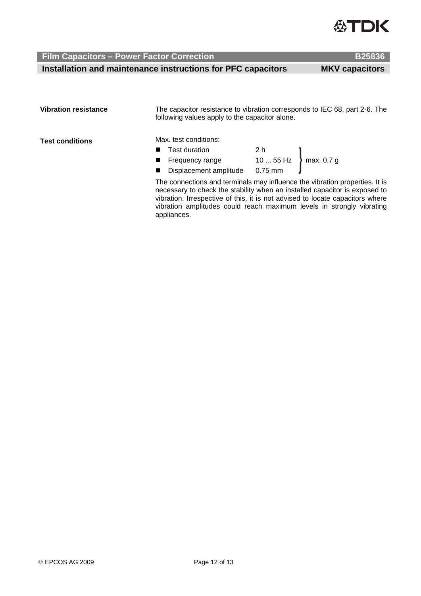

 **Installation and maintenance instructions for PFC capacitors MKV capacitors** 

| <b>Vibration resistance</b> | The capacitor resistance to vibration corresponds to IEC 68, part 2-6. The<br>following values apply to the capacitor alone.<br>Max. test conditions:                                                                                                                                                                  |  |  |  |
|-----------------------------|------------------------------------------------------------------------------------------------------------------------------------------------------------------------------------------------------------------------------------------------------------------------------------------------------------------------|--|--|--|
| <b>Test conditions</b>      |                                                                                                                                                                                                                                                                                                                        |  |  |  |
|                             |                                                                                                                                                                                                                                                                                                                        |  |  |  |
|                             |                                                                                                                                                                                                                                                                                                                        |  |  |  |
|                             |                                                                                                                                                                                                                                                                                                                        |  |  |  |
|                             | Frequency range $1055$ Hz max. 0.7 g<br>Displacement amplitude $0.75$ mm<br>The connections and terminals may influence the vibration properties. It is<br>necessary to check the stability when an installed capacitor is exposed to<br>vibration. Irrespective of this, it is not advised to locate capacitors where |  |  |  |

vibration. Irrespective of this, it is not advised to locate capacitors where vibration amplitudes could reach maximum levels in strongly vibrating appliances.